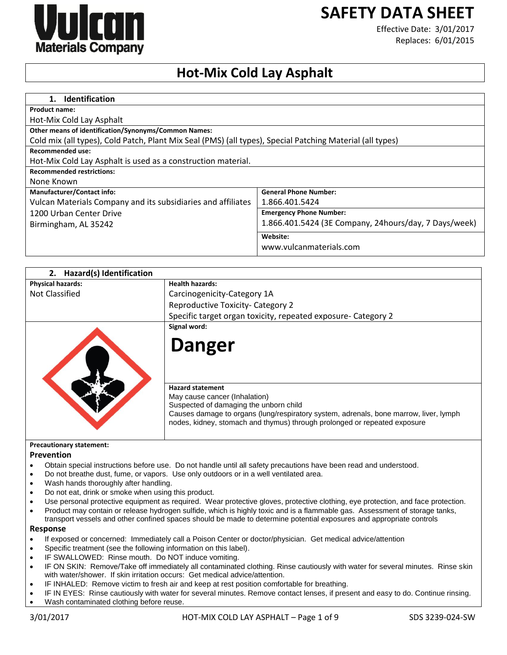

# **SAFETY DATA SHEET**

Effective Date: 3/01/2017 Replaces: 6/01/2015

## **Hot-Mix Cold Lay Asphalt**

| <b>Identification</b><br>$\mathbf 1$ .                                                                    |                                                       |
|-----------------------------------------------------------------------------------------------------------|-------------------------------------------------------|
| Product name:                                                                                             |                                                       |
| Hot-Mix Cold Lay Asphalt                                                                                  |                                                       |
| <b>Other means of identification/Synonyms/Common Names:</b>                                               |                                                       |
| Cold mix (all types), Cold Patch, Plant Mix Seal (PMS) (all types), Special Patching Material (all types) |                                                       |
| Recommended use:                                                                                          |                                                       |
| Hot-Mix Cold Lay Asphalt is used as a construction material.                                              |                                                       |
| <b>Recommended restrictions:</b>                                                                          |                                                       |
| None Known                                                                                                |                                                       |
| <b>Manufacturer/Contact info:</b>                                                                         | <b>General Phone Number:</b>                          |
| Vulcan Materials Company and its subsidiaries and affiliates                                              | 1.866.401.5424                                        |
| 1200 Urban Center Drive                                                                                   | <b>Emergency Phone Number:</b>                        |
| Birmingham, AL 35242                                                                                      | 1.866.401.5424 (3E Company, 24hours/day, 7 Days/week) |
|                                                                                                           | Website:                                              |
|                                                                                                           | www.vulcanmaterials.com                               |

| 2. Hazard(s) Identification     |                                                                                                                                 |
|---------------------------------|---------------------------------------------------------------------------------------------------------------------------------|
| <b>Physical hazards:</b>        | <b>Health hazards:</b>                                                                                                          |
| Not Classified                  | Carcinogenicity-Category 1A                                                                                                     |
|                                 | Reproductive Toxicity- Category 2                                                                                               |
|                                 | Specific target organ toxicity, repeated exposure- Category 2                                                                   |
|                                 | Signal word:                                                                                                                    |
|                                 | <b>Danger</b>                                                                                                                   |
|                                 | <b>Hazard statement</b>                                                                                                         |
|                                 | May cause cancer (Inhalation)                                                                                                   |
|                                 | Suspected of damaging the unborn child<br>Causes damage to organs (lung/respiratory system, adrenals, bone marrow, liver, lymph |
|                                 | nodes, kidney, stomach and thymus) through prolonged or repeated exposure                                                       |
|                                 |                                                                                                                                 |
| <b>Precautionary statement:</b> |                                                                                                                                 |

#### **Prevention**

- Obtain special instructions before use. Do not handle until all safety precautions have been read and understood.
- Do not breathe dust, fume, or vapors. Use only outdoors or in a well ventilated area.
- Wash hands thoroughly after handling.
- Do not eat, drink or smoke when using this product.
- Use personal protective equipment as required. Wear protective gloves, protective clothing, eye protection, and face protection.
- Product may contain or release hydrogen sulfide, which is highly toxic and is a flammable gas. Assessment of storage tanks, transport vessels and other confined spaces should be made to determine potential exposures and appropriate controls

#### **Response**

- If exposed or concerned: Immediately call a Poison Center or doctor/physician. Get medical advice/attention
- Specific treatment (see the following information on this label).
- IF SWALLOWED: Rinse mouth. Do NOT induce vomiting.
- IF ON SKIN: Remove/Take off immediately all contaminated clothing. Rinse cautiously with water for several minutes. Rinse skin with water/shower. If skin irritation occurs: Get medical advice/attention.
- IF INHALED: Remove victim to fresh air and keep at rest position comfortable for breathing.
- IF IN EYES: Rinse cautiously with water for several minutes. Remove contact lenses, if present and easy to do. Continue rinsing.
- Wash contaminated clothing before reuse.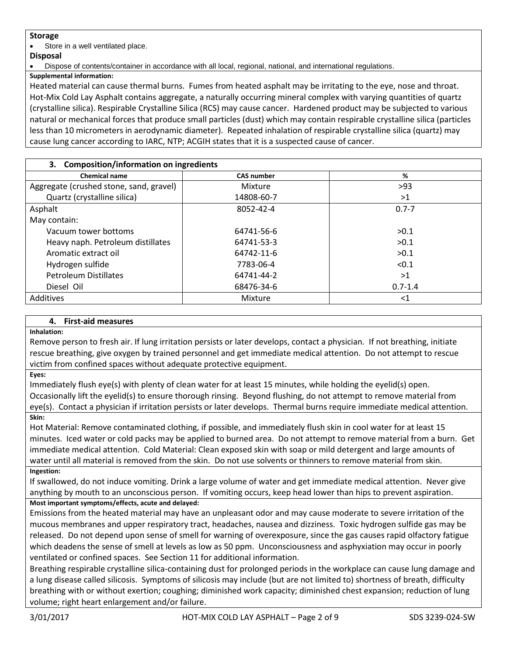## **Storage**

Store in a well ventilated place.

## **Disposal**

Dispose of contents/container in accordance with all local, regional, national, and international regulations.

**Supplemental information:**

Heated material can cause thermal burns. Fumes from heated asphalt may be irritating to the eye, nose and throat. Hot-Mix Cold Lay Asphalt contains aggregate, a naturally occurring mineral complex with varying quantities of quartz (crystalline silica). Respirable Crystalline Silica (RCS) may cause cancer. Hardened product may be subjected to various natural or mechanical forces that produce small particles (dust) which may contain respirable crystalline silica (particles less than 10 micrometers in aerodynamic diameter). Repeated inhalation of respirable crystalline silica (quartz) may cause lung cancer according to IARC, NTP; ACGIH states that it is a suspected cause of cancer.

| 3. Composition/information on ingredients |                   |             |
|-------------------------------------------|-------------------|-------------|
| <b>Chemical name</b>                      | <b>CAS number</b> | %           |
| Aggregate (crushed stone, sand, gravel)   | Mixture           | >93         |
| Quartz (crystalline silica)               | 14808-60-7        | >1          |
| Asphalt                                   | 8052-42-4         | $0.7 - 7$   |
| May contain:                              |                   |             |
| Vacuum tower bottoms                      | 64741-56-6        | >0.1        |
| Heavy naph. Petroleum distillates         | 64741-53-3        | >0.1        |
| Aromatic extract oil                      | 64742-11-6        | >0.1        |
| Hydrogen sulfide                          | 7783-06-4         | < 0.1       |
| <b>Petroleum Distillates</b>              | 64741-44-2        | >1          |
| Diesel Oil                                | 68476-34-6        | $0.7 - 1.4$ |
| Additives                                 | Mixture           | $<$ 1       |

## **4. First-aid measures**

#### **Inhalation:**

Remove person to fresh air. If lung irritation persists or later develops, contact a physician. If not breathing, initiate rescue breathing, give oxygen by trained personnel and get immediate medical attention. Do not attempt to rescue victim from confined spaces without adequate protective equipment.

#### **Eyes:**

Immediately flush eye(s) with plenty of clean water for at least 15 minutes, while holding the eyelid(s) open. Occasionally lift the eyelid(s) to ensure thorough rinsing. Beyond flushing, do not attempt to remove material from eye(s). Contact a physician if irritation persists or later develops. Thermal burns require immediate medical attention. **Skin:**

## Hot Material: Remove contaminated clothing, if possible, and immediately flush skin in cool water for at least 15 minutes. Iced water or cold packs may be applied to burned area. Do not attempt to remove material from a burn. Get immediate medical attention. Cold Material: Clean exposed skin with soap or mild detergent and large amounts of water until all material is removed from the skin. Do not use solvents or thinners to remove material from skin. **Ingestion:**

If swallowed, do not induce vomiting. Drink a large volume of water and get immediate medical attention. Never give anything by mouth to an unconscious person. If vomiting occurs, keep head lower than hips to prevent aspiration. **Most important symptoms/effects, acute and delayed:**

Emissions from the heated material may have an unpleasant odor and may cause moderate to severe irritation of the mucous membranes and upper respiratory tract, headaches, nausea and dizziness. Toxic hydrogen sulfide gas may be released. Do not depend upon sense of smell for warning of overexposure, since the gas causes rapid olfactory fatigue which deadens the sense of smell at levels as low as 50 ppm. Unconsciousness and asphyxiation may occur in poorly ventilated or confined spaces. See Section 11 for additional information.

Breathing respirable crystalline silica-containing dust for prolonged periods in the workplace can cause lung damage and a lung disease called silicosis. Symptoms of silicosis may include (but are not limited to) shortness of breath, difficulty breathing with or without exertion; coughing; diminished work capacity; diminished chest expansion; reduction of lung volume; right heart enlargement and/or failure.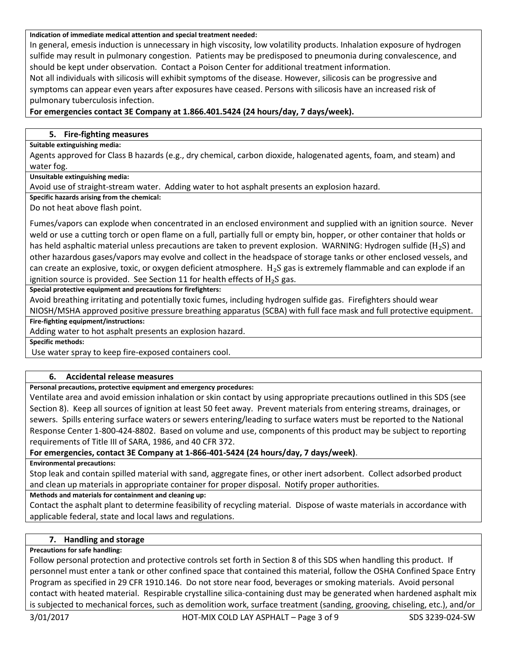#### **Indication of immediate medical attention and special treatment needed:**

In general, emesis induction is unnecessary in high viscosity, low volatility products. Inhalation exposure of hydrogen sulfide may result in pulmonary congestion. Patients may be predisposed to pneumonia during convalescence, and should be kept under observation. Contact a Poison Center for additional treatment information.

Not all individuals with silicosis will exhibit symptoms of the disease. However, silicosis can be progressive and symptoms can appear even years after exposures have ceased. Persons with silicosis have an increased risk of pulmonary tuberculosis infection.

## **For emergencies contact 3E Company at 1.866.401.5424 (24 hours/day, 7 days/week).**

#### **5. Fire-fighting measures**

#### **Suitable extinguishing media:**

Agents approved for Class B hazards (e.g., dry chemical, carbon dioxide, halogenated agents, foam, and steam) and water fog.

**Unsuitable extinguishing media:**

Avoid use of straight-stream water. Adding water to hot asphalt presents an explosion hazard.

**Specific hazards arising from the chemical:**

Do not heat above flash point.

Fumes/vapors can explode when concentrated in an enclosed environment and supplied with an ignition source. Never weld or use a cutting torch or open flame on a full, partially full or empty bin, hopper, or other container that holds or has held asphaltic material unless precautions are taken to prevent explosion. WARNING: Hydrogen sulfide ( $H_2S$ ) and other hazardous gases/vapors may evolve and collect in the headspace of storage tanks or other enclosed vessels, and can create an explosive, toxic, or oxygen deficient atmosphere.  $H_2S$  gas is extremely flammable and can explode if an ignition source is provided. See Section 11 for health effects of  $H_2S$  gas.

**Special protective equipment and precautions for firefighters:**

Avoid breathing irritating and potentially toxic fumes, including hydrogen sulfide gas. Firefighters should wear

NIOSH/MSHA approved positive pressure breathing apparatus (SCBA) with full face mask and full protective equipment. **Fire-fighting equipment/instructions:**

Adding water to hot asphalt presents an explosion hazard.

**Specific methods:**

Use water spray to keep fire-exposed containers cool.

## **6. Accidental release measures**

#### **Personal precautions, protective equipment and emergency procedures:**

Ventilate area and avoid emission inhalation or skin contact by using appropriate precautions outlined in this SDS (see Section 8). Keep all sources of ignition at least 50 feet away. Prevent materials from entering streams, drainages, or sewers. Spills entering surface waters or sewers entering/leading to surface waters must be reported to the National Response Center 1-800-424-8802. Based on volume and use, components of this product may be subject to reporting requirements of Title III of SARA, 1986, and 40 CFR 372.

## **For emergencies, contact 3E Company at 1-866-401-5424 (24 hours/day, 7 days/week)**.

**Environmental precautions:**

Stop leak and contain spilled material with sand, aggregate fines, or other inert adsorbent. Collect adsorbed product and clean up materials in appropriate container for proper disposal. Notify proper authorities.

**Methods and materials for containment and cleaning up:**

Contact the asphalt plant to determine feasibility of recycling material. Dispose of waste materials in accordance with applicable federal, state and local laws and regulations.

## **7. Handling and storage**

#### **Precautions for safe handling:**

Follow personal protection and protective controls set forth in Section 8 of this SDS when handling this product. If personnel must enter a tank or other confined space that contained this material, follow the OSHA Confined Space Entry Program as specified in 29 CFR 1910.146. Do not store near food, beverages or smoking materials. Avoid personal contact with heated material. Respirable crystalline silica-containing dust may be generated when hardened asphalt mix is subjected to mechanical forces, such as demolition work, surface treatment (sanding, grooving, chiseling, etc.), and/or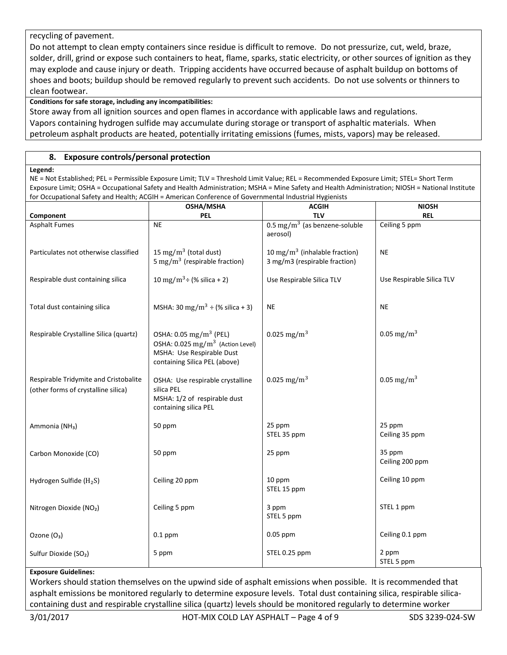## recycling of pavement.

Do not attempt to clean empty containers since residue is difficult to remove. Do not pressurize, cut, weld, braze, solder, drill, grind or expose such containers to heat, flame, sparks, static electricity, or other sources of ignition as they may explode and cause injury or death. Tripping accidents have occurred because of asphalt buildup on bottoms of shoes and boots; buildup should be removed regularly to prevent such accidents. Do not use solvents or thinners to clean footwear.

## **Conditions for safe storage, including any incompatibilities:**

Store away from all ignition sources and open flames in accordance with applicable laws and regulations. Vapors containing hydrogen sulfide may accumulate during storage or transport of asphaltic materials. When petroleum asphalt products are heated, potentially irritating emissions (fumes, mists, vapors) may be released.

## **8. Exposure controls/personal protection**

#### **Legend:**

NE = Not Established; PEL = Permissible Exposure Limit; TLV = Threshold Limit Value; REL = Recommended Exposure Limit; STEL= Short Term Exposure Limit; OSHA = Occupational Safety and Health Administration; MSHA = Mine Safety and Health Administration; NIOSH = National Institute for Occupational Safety and Health; ACGIH = American Conference of Governmental Industrial Hygienists

|                                                                              | OSHA/MSHA                                                                                                                                        | <b>ACGIH</b>                                                               | <b>NIOSH</b>              |
|------------------------------------------------------------------------------|--------------------------------------------------------------------------------------------------------------------------------------------------|----------------------------------------------------------------------------|---------------------------|
| Component                                                                    | <b>PEL</b>                                                                                                                                       | <b>TLV</b>                                                                 | <b>REL</b>                |
| <b>Asphalt Fumes</b>                                                         | <b>NE</b>                                                                                                                                        | $0.5 \text{ mg/m}^3$ (as benzene-soluble<br>aerosol)                       | Ceiling 5 ppm             |
| Particulates not otherwise classified                                        | 15 mg/m <sup>3</sup> (total dust)<br>5 mg/m <sup>3</sup> (respirable fraction)                                                                   | 10 mg/m <sup>3</sup> (inhalable fraction)<br>3 mg/m3 (respirable fraction) | <b>NE</b>                 |
| Respirable dust containing silica                                            | 10 mg/m <sup>3</sup> ÷ (% silica + 2)                                                                                                            | Use Respirable Silica TLV                                                  | Use Respirable Silica TLV |
| Total dust containing silica                                                 | MSHA: 30 mg/m <sup>3</sup> ÷ (% silica + 3)                                                                                                      | <b>NE</b>                                                                  | <b>NE</b>                 |
| Respirable Crystalline Silica (quartz)                                       | OSHA: 0.05 mg/m <sup>3</sup> (PEL)<br>OSHA: 0.025 mg/m <sup>3</sup> (Action Level)<br>MSHA: Use Respirable Dust<br>containing Silica PEL (above) | 0.025 mg/m <sup>3</sup>                                                    | 0.05 mg/m <sup>3</sup>    |
| Respirable Tridymite and Cristobalite<br>(other forms of crystalline silica) | OSHA: Use respirable crystalline<br>silica PEL<br>MSHA: 1/2 of respirable dust<br>containing silica PEL                                          | 0.025 mg/m <sup>3</sup>                                                    | 0.05 mg/m <sup>3</sup>    |
| Ammonia (NH <sub>3</sub> )                                                   | 50 ppm                                                                                                                                           | 25 ppm<br>STEL 35 ppm                                                      | 25 ppm<br>Ceiling 35 ppm  |
| Carbon Monoxide (CO)                                                         | 50 ppm                                                                                                                                           | 25 ppm                                                                     | 35 ppm<br>Ceiling 200 ppm |
| Hydrogen Sulfide ( $H_2S$ )                                                  | Ceiling 20 ppm                                                                                                                                   | 10 ppm<br>STEL 15 ppm                                                      | Ceiling 10 ppm            |
| Nitrogen Dioxide (NO2)                                                       | Ceiling 5 ppm                                                                                                                                    | 3 ppm<br>STEL 5 ppm                                                        | STEL 1 ppm                |
| Ozone (O <sub>3</sub> )                                                      | $0.1$ ppm                                                                                                                                        | 0.05 ppm                                                                   | Ceiling 0.1 ppm           |
| Sulfur Dioxide (SO <sub>2</sub> )                                            | 5 ppm                                                                                                                                            | STEL 0.25 ppm                                                              | 2 ppm<br>STEL 5 ppm       |

#### **Exposure Guidelines:**

Workers should station themselves on the upwind side of asphalt emissions when possible. It is recommended that asphalt emissions be monitored regularly to determine exposure levels. Total dust containing silica, respirable silicacontaining dust and respirable crystalline silica (quartz) levels should be monitored regularly to determine worker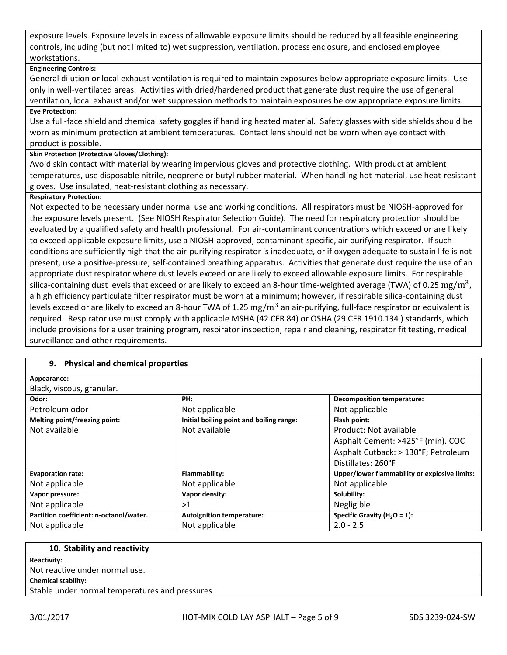exposure levels. Exposure levels in excess of allowable exposure limits should be reduced by all feasible engineering controls, including (but not limited to) wet suppression, ventilation, process enclosure, and enclosed employee workstations.

## **Engineering Controls:**

General dilution or local exhaust ventilation is required to maintain exposures below appropriate exposure limits. Use only in well-ventilated areas. Activities with dried/hardened product that generate dust require the use of general ventilation, local exhaust and/or wet suppression methods to maintain exposures below appropriate exposure limits.

## **Eye Protection:**

Use a full-face shield and chemical safety goggles if handling heated material. Safety glasses with side shields should be worn as minimum protection at ambient temperatures. Contact lens should not be worn when eye contact with product is possible.

#### **Skin Protection (Protective Gloves/Clothing):**

Avoid skin contact with material by wearing impervious gloves and protective clothing. With product at ambient temperatures, use disposable nitrile, neoprene or butyl rubber material. When handling hot material, use heat-resistant gloves. Use insulated, heat-resistant clothing as necessary.

## **Respiratory Protection:**

Not expected to be necessary under normal use and working conditions. All respirators must be NIOSH-approved for the exposure levels present. (See NIOSH Respirator Selection Guide). The need for respiratory protection should be evaluated by a qualified safety and health professional. For air-contaminant concentrations which exceed or are likely to exceed applicable exposure limits, use a NIOSH-approved, contaminant-specific, air purifying respirator. If such conditions are sufficiently high that the air-purifying respirator is inadequate, or if oxygen adequate to sustain life is not present, use a positive-pressure, self-contained breathing apparatus. Activities that generate dust require the use of an appropriate dust respirator where dust levels exceed or are likely to exceed allowable exposure limits. For respirable silica-containing dust levels that exceed or are likely to exceed an 8-hour time-weighted average (TWA) of 0.25  $\rm mg/m^3$ , a high efficiency particulate filter respirator must be worn at a minimum; however, if respirable silica-containing dust levels exceed or are likely to exceed an 8-hour TWA of 1.25  $\rm mg/m^3$  an air-purifying, full-face respirator or equivalent is required. Respirator use must comply with applicable MSHA (42 CFR 84) or OSHA (29 CFR 1910.134 ) standards, which include provisions for a user training program, respirator inspection, repair and cleaning, respirator fit testing, medical surveillance and other requirements.

## **9. Physical and chemical properties**

| Appearance:                   |                    |
|-------------------------------|--------------------|
| Black, viscous, granular.     |                    |
| Odor:                         | PH:                |
| Petroleum odor                | Not applicabl      |
| Melting point/freezing point: | Initial boiling po |

| uuu.                                    | .                                        | Deconposition temperature.                    |
|-----------------------------------------|------------------------------------------|-----------------------------------------------|
| Petroleum odor                          | Not applicable                           | Not applicable                                |
| Melting point/freezing point:           | Initial boiling point and boiling range: | Flash point:                                  |
| Not available                           | Not available                            | Product: Not available                        |
|                                         |                                          | Asphalt Cement: >425°F (min). COC             |
|                                         |                                          | Asphalt Cutback: > 130°F; Petroleum           |
|                                         |                                          | Distillates: 260°F                            |
| <b>Evaporation rate:</b>                | Flammability:                            | Upper/lower flammability or explosive limits: |
| Not applicable                          | Not applicable                           | Not applicable                                |
| Vapor pressure:                         | Vapor density:                           | Solubility:                                   |
| Not applicable                          | >1                                       | Negligible                                    |
| Partition coefficient: n-octanol/water. | <b>Autoignition temperature:</b>         | Specific Gravity ( $H_2O = 1$ ):              |
| Not applicable                          | Not applicable                           | $2.0 - 2.5$                                   |
|                                         |                                          |                                               |

| 10. Stability and reactivity                    |
|-------------------------------------------------|
|                                                 |
| <b>Reactivity:</b>                              |
| Not reactive under normal use.                  |
| <b>Chemical stability:</b>                      |
| Stable under normal temperatures and pressures. |

**Decomposition temperature:**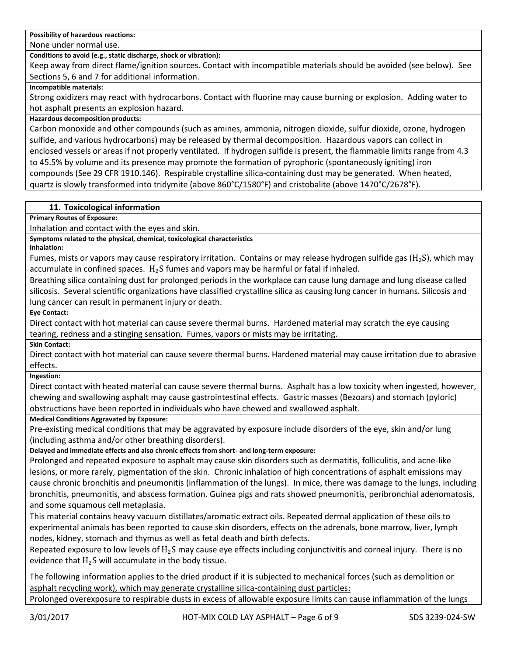**Possibility of hazardous reactions:**

None under normal use.

**Conditions to avoid (e.g., static discharge, shock or vibration):**

Keep away from direct flame/ignition sources. Contact with incompatible materials should be avoided (see below). See Sections 5, 6 and 7 for additional information.

**Incompatible materials:**

Strong oxidizers may react with hydrocarbons. Contact with fluorine may cause burning or explosion. Adding water to hot asphalt presents an explosion hazard.

## **Hazardous decomposition products:**

Carbon monoxide and other compounds (such as amines, ammonia, nitrogen dioxide, sulfur dioxide, ozone, hydrogen sulfide, and various hydrocarbons) may be released by thermal decomposition. Hazardous vapors can collect in enclosed vessels or areas if not properly ventilated. If hydrogen sulfide is present, the flammable limits range from 4.3 to 45.5% by volume and its presence may promote the formation of pyrophoric (spontaneously igniting) iron compounds (See 29 CFR 1910.146). Respirable crystalline silica-containing dust may be generated. When heated, quartz is slowly transformed into tridymite (above 860°C/1580°F) and cristobalite (above 1470°C/2678°F).

## **11. Toxicological information**

**Primary Routes of Exposure:**

Inhalation and contact with the eyes and skin.

**Symptoms related to the physical, chemical, toxicological characteristics**

**Inhalation:** 

Fumes, mists or vapors may cause respiratory irritation. Contains or may release hydrogen sulfide gas ( $H_2S$ ), which may accumulate in confined spaces.  $H_2S$  fumes and vapors may be harmful or fatal if inhaled.

Breathing silica containing dust for prolonged periods in the workplace can cause lung damage and lung disease called silicosis. Several scientific organizations have classified crystalline silica as causing lung cancer in humans. Silicosis and lung cancer can result in permanent injury or death.

**Eye Contact:**

Direct contact with hot material can cause severe thermal burns. Hardened material may scratch the eye causing tearing, redness and a stinging sensation. Fumes, vapors or mists may be irritating.

**Skin Contact:**

Direct contact with hot material can cause severe thermal burns. Hardened material may cause irritation due to abrasive effects.

**Ingestion:**

Direct contact with heated material can cause severe thermal burns. Asphalt has a low toxicity when ingested, however, chewing and swallowing asphalt may cause gastrointestinal effects. Gastric masses (Bezoars) and stomach (pyloric) obstructions have been reported in individuals who have chewed and swallowed asphalt.

**Medical Conditions Aggravated by Exposure:**

Pre-existing medical conditions that may be aggravated by exposure include disorders of the eye, skin and/or lung (including asthma and/or other breathing disorders).

**Delayed and immediate effects and also chronic effects from short- and long-term exposure:**

Prolonged and repeated exposure to asphalt may cause skin disorders such as dermatitis, folliculitis, and acne-like lesions, or more rarely, pigmentation of the skin. Chronic inhalation of high concentrations of asphalt emissions may cause chronic bronchitis and pneumonitis (inflammation of the lungs). In mice, there was damage to the lungs, including bronchitis, pneumonitis, and abscess formation. Guinea pigs and rats showed pneumonitis, peribronchial adenomatosis, and some squamous cell metaplasia.

This material contains heavy vacuum distillates/aromatic extract oils. Repeated dermal application of these oils to experimental animals has been reported to cause skin disorders, effects on the adrenals, bone marrow, liver, lymph nodes, kidney, stomach and thymus as well as fetal death and birth defects.

Repeated exposure to low levels of  $H_2S$  may cause eye effects including conjunctivitis and corneal injury. There is no evidence that  $H_2S$  will accumulate in the body tissue.

The following information applies to the dried product if it is subjected to mechanical forces (such as demolition or asphalt recycling work), which may generate crystalline silica-containing dust particles:

Prolonged overexposure to respirable dusts in excess of allowable exposure limits can cause inflammation of the lungs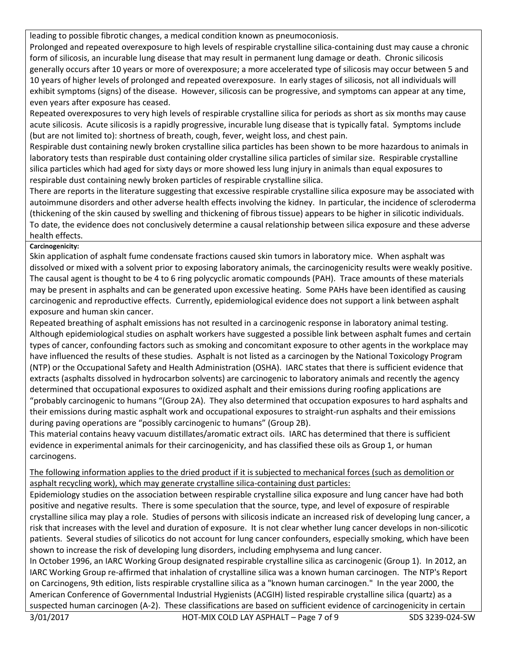leading to possible fibrotic changes, a medical condition known as pneumoconiosis.

Prolonged and repeated overexposure to high levels of respirable crystalline silica-containing dust may cause a chronic form of silicosis, an incurable lung disease that may result in permanent lung damage or death. Chronic silicosis generally occurs after 10 years or more of overexposure; a more accelerated type of silicosis may occur between 5 and 10 years of higher levels of prolonged and repeated overexposure. In early stages of silicosis, not all individuals will exhibit symptoms (signs) of the disease. However, silicosis can be progressive, and symptoms can appear at any time, even years after exposure has ceased.

Repeated overexposures to very high levels of respirable crystalline silica for periods as short as six months may cause acute silicosis. Acute silicosis is a rapidly progressive, incurable lung disease that is typically fatal. Symptoms include (but are not limited to): shortness of breath, cough, fever, weight loss, and chest pain.

Respirable dust containing newly broken crystalline silica particles has been shown to be more hazardous to animals in laboratory tests than respirable dust containing older crystalline silica particles of similar size. Respirable crystalline silica particles which had aged for sixty days or more showed less lung injury in animals than equal exposures to respirable dust containing newly broken particles of respirable crystalline silica.

There are reports in the literature suggesting that excessive respirable crystalline silica exposure may be associated with autoimmune disorders and other adverse health effects involving the kidney. In particular, the incidence of scleroderma (thickening of the skin caused by swelling and thickening of fibrous tissue) appears to be higher in silicotic individuals. To date, the evidence does not conclusively determine a causal relationship between silica exposure and these adverse health effects.

## **Carcinogenicity:**

Skin application of asphalt fume condensate fractions caused skin tumors in laboratory mice. When asphalt was dissolved or mixed with a solvent prior to exposing laboratory animals, the carcinogenicity results were weakly positive. The causal agent is thought to be 4 to 6 ring polycyclic aromatic compounds (PAH). Trace amounts of these materials may be present in asphalts and can be generated upon excessive heating. Some PAHs have been identified as causing carcinogenic and reproductive effects. Currently, epidemiological evidence does not support a link between asphalt exposure and human skin cancer.

Repeated breathing of asphalt emissions has not resulted in a carcinogenic response in laboratory animal testing. Although epidemiological studies on asphalt workers have suggested a possible link between asphalt fumes and certain types of cancer, confounding factors such as smoking and concomitant exposure to other agents in the workplace may have influenced the results of these studies. Asphalt is not listed as a carcinogen by the National Toxicology Program (NTP) or the Occupational Safety and Health Administration (OSHA). IARC states that there is sufficient evidence that extracts (asphalts dissolved in hydrocarbon solvents) are carcinogenic to laboratory animals and recently the agency determined that occupational exposures to oxidized asphalt and their emissions during roofing applications are "probably carcinogenic to humans "(Group 2A). They also determined that occupation exposures to hard asphalts and their emissions during mastic asphalt work and occupational exposures to straight-run asphalts and their emissions during paving operations are "possibly carcinogenic to humans" (Group 2B).

This material contains heavy vacuum distillates/aromatic extract oils. IARC has determined that there is sufficient evidence in experimental animals for their carcinogenicity, and has classified these oils as Group 1, or human carcinogens.

## The following information applies to the dried product if it is subjected to mechanical forces (such as demolition or asphalt recycling work), which may generate crystalline silica-containing dust particles:

Epidemiology studies on the association between respirable crystalline silica exposure and lung cancer have had both positive and negative results. There is some speculation that the source, type, and level of exposure of respirable crystalline silica may play a role. Studies of persons with silicosis indicate an increased risk of developing lung cancer, a risk that increases with the level and duration of exposure. It is not clear whether lung cancer develops in non-silicotic patients. Several studies of silicotics do not account for lung cancer confounders, especially smoking, which have been shown to increase the risk of developing lung disorders, including emphysema and lung cancer.

In October 1996, an IARC Working Group designated respirable crystalline silica as carcinogenic (Group 1). In 2012, an IARC Working Group re-affirmed that inhalation of crystalline silica was a known human carcinogen. The NTP's Report on Carcinogens, 9th edition, lists respirable crystalline silica as a "known human carcinogen." In the year 2000, the American Conference of Governmental Industrial Hygienists (ACGIH) listed respirable crystalline silica (quartz) as a suspected human carcinogen (A-2). These classifications are based on sufficient evidence of carcinogenicity in certain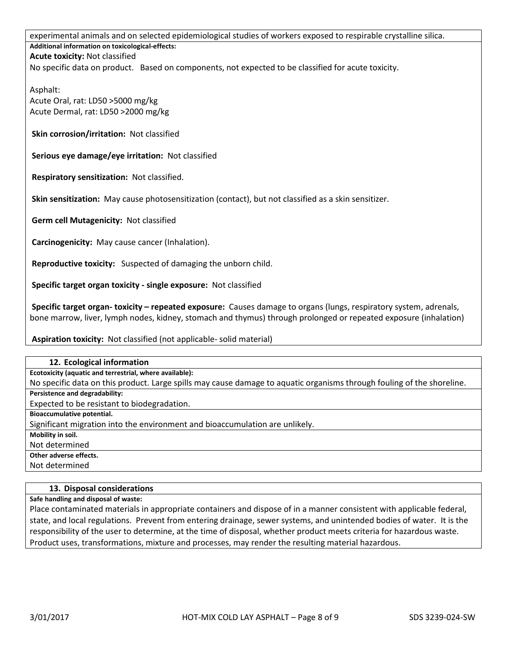experimental animals and on selected epidemiological studies of workers exposed to respirable crystalline silica. **Additional information on toxicological-effects: Acute toxicity:** Not classified No specific data on product. Based on components, not expected to be classified for acute toxicity.

Asphalt: Acute Oral, rat: LD50 >5000 mg/kg Acute Dermal, rat: LD50 >2000 mg/kg

**Skin corrosion/irritation:** Not classified

**Serious eye damage/eye irritation:** Not classified

**Respiratory sensitization:** Not classified.

**Skin sensitization:** May cause photosensitization (contact), but not classified as a skin sensitizer.

**Germ cell Mutagenicity:** Not classified

**Carcinogenicity:** May cause cancer (Inhalation).

**Reproductive toxicity:** Suspected of damaging the unborn child.

**Specific target organ toxicity - single exposure:** Not classified

**Specific target organ- toxicity – repeated exposure:** Causes damage to organs (lungs, respiratory system, adrenals, bone marrow, liver, lymph nodes, kidney, stomach and thymus) through prolonged or repeated exposure (inhalation)

**Aspiration toxicity:** Not classified (not applicable- solid material)

| 12. Ecological information                                                                                             |
|------------------------------------------------------------------------------------------------------------------------|
| Ecotoxicity (aquatic and terrestrial, where available):                                                                |
| No specific data on this product. Large spills may cause damage to aquatic organisms through fouling of the shoreline. |
| Persistence and degradability:                                                                                         |
| Expected to be resistant to biodegradation.                                                                            |
| Bioaccumulative potential.                                                                                             |
| Significant migration into the environment and bioaccumulation are unlikely.                                           |
| Mobility in soil.                                                                                                      |
| Not determined                                                                                                         |
| Other adverse effects.                                                                                                 |

Not determined

#### **13. Disposal considerations**

**Safe handling and disposal of waste:**

Place contaminated materials in appropriate containers and dispose of in a manner consistent with applicable federal, state, and local regulations. Prevent from entering drainage, sewer systems, and unintended bodies of water. It is the responsibility of the user to determine, at the time of disposal, whether product meets criteria for hazardous waste. Product uses, transformations, mixture and processes, may render the resulting material hazardous.